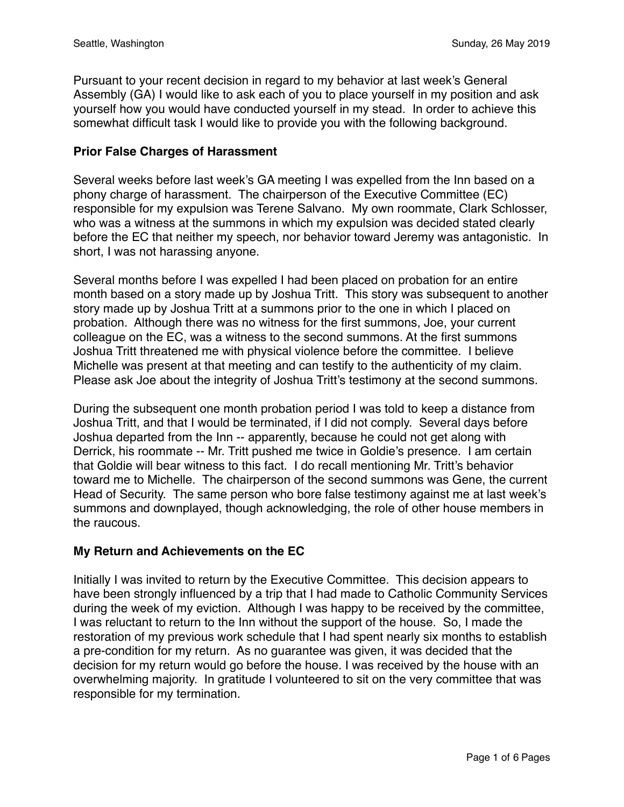Pursuant to your recent decision in regard to my behavior at last week's General Assembly (GA) I would like to ask each of you to place yourself in my position and ask yourself how you would have conducted yourself in my stead. In order to achieve this somewhat difficult task I would like to provide you with the following background.

### **Prior False Charges of Harassment**

Several weeks before last week's GA meeting I was expelled from the Inn based on a phony charge of harassment. The chairperson of the Executive Committee (EC) responsible for my expulsion was Terene Salvano. My own roommate, Clark Schlosser, who was a witness at the summons in which my expulsion was decided stated clearly before the EC that neither my speech, nor behavior toward Jeremy was antagonistic. In short, I was not harassing anyone.

Several months before I was expelled I had been placed on probation for an entire month based on a story made up by Joshua Tritt. This story was subsequent to another story made up by Joshua Tritt at a summons prior to the one in which I placed on probation. Although there was no witness for the first summons, Joe, your current colleague on the EC, was a witness to the second summons. At the first summons Joshua Tritt threatened me with physical violence before the committee. I believe Michelle was present at that meeting and can testify to the authenticity of my claim. Please ask Joe about the integrity of Joshua Tritt's testimony at the second summons.

During the subsequent one month probation period I was told to keep a distance from Joshua Tritt, and that I would be terminated, if I did not comply. Several days before Joshua departed from the Inn -- apparently, because he could not get along with Derrick, his roommate -- Mr. Tritt pushed me twice in Goldie's presence. I am certain that Goldie will bear witness to this fact. I do recall mentioning Mr. Tritt's behavior toward me to Michelle. The chairperson of the second summons was Gene, the current Head of Security. The same person who bore false testimony against me at last week's summons and downplayed, though acknowledging, the role of other house members in the raucous.

# **My Return and Achievements on the EC**

Initially I was invited to return by the Executive Committee. This decision appears to have been strongly influenced by a trip that I had made to Catholic Community Services during the week of my eviction. Although I was happy to be received by the committee, I was reluctant to return to the Inn without the support of the house. So, I made the restoration of my previous work schedule that I had spent nearly six months to establish a pre-condition for my return. As no guarantee was given, it was decided that the decision for my return would go before the house. I was received by the house with an overwhelming majority. In gratitude I volunteered to sit on the very committee that was responsible for my termination.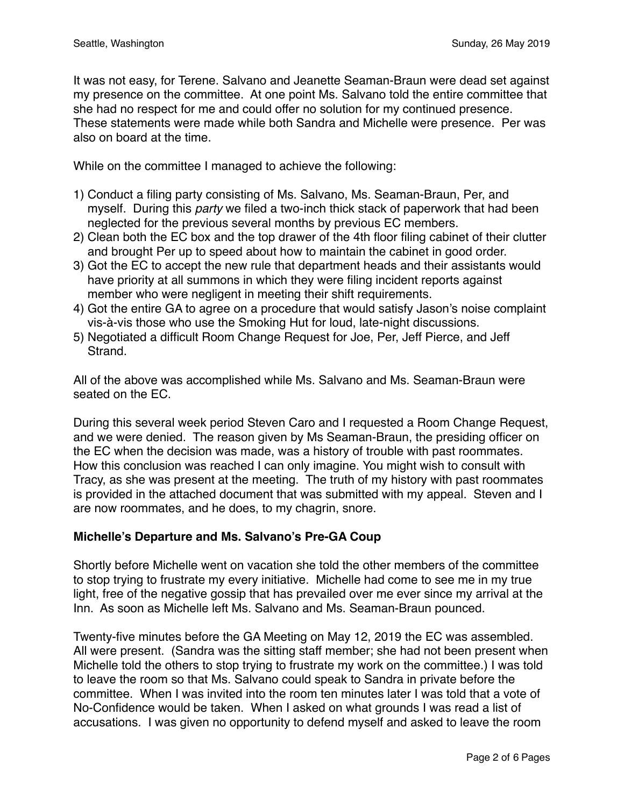It was not easy, for Terene. Salvano and Jeanette Seaman-Braun were dead set against my presence on the committee. At one point Ms. Salvano told the entire committee that she had no respect for me and could offer no solution for my continued presence. These statements were made while both Sandra and Michelle were presence. Per was also on board at the time.

While on the committee I managed to achieve the following:

- 1) Conduct a filing party consisting of Ms. Salvano, Ms. Seaman-Braun, Per, and myself. During this *party* we filed a two-inch thick stack of paperwork that had been neglected for the previous several months by previous EC members.
- 2) Clean both the EC box and the top drawer of the 4th floor filing cabinet of their clutter and brought Per up to speed about how to maintain the cabinet in good order.
- 3) Got the EC to accept the new rule that department heads and their assistants would have priority at all summons in which they were filing incident reports against member who were negligent in meeting their shift requirements.
- 4) Got the entire GA to agree on a procedure that would satisfy Jason's noise complaint vis-à-vis those who use the Smoking Hut for loud, late-night discussions.
- 5) Negotiated a difficult Room Change Request for Joe, Per, Jeff Pierce, and Jeff Strand.

All of the above was accomplished while Ms. Salvano and Ms. Seaman-Braun were seated on the EC.

During this several week period Steven Caro and I requested a Room Change Request, and we were denied. The reason given by Ms Seaman-Braun, the presiding officer on the EC when the decision was made, was a history of trouble with past roommates. How this conclusion was reached I can only imagine. You might wish to consult with Tracy, as she was present at the meeting. The truth of my history with past roommates is provided in the attached document that was submitted with my appeal. Steven and I are now roommates, and he does, to my chagrin, snore.

# **Michelle's Departure and Ms. Salvano's Pre-GA Coup**

Shortly before Michelle went on vacation she told the other members of the committee to stop trying to frustrate my every initiative. Michelle had come to see me in my true light, free of the negative gossip that has prevailed over me ever since my arrival at the Inn. As soon as Michelle left Ms. Salvano and Ms. Seaman-Braun pounced.

Twenty-five minutes before the GA Meeting on May 12, 2019 the EC was assembled. All were present. (Sandra was the sitting staff member; she had not been present when Michelle told the others to stop trying to frustrate my work on the committee.) I was told to leave the room so that Ms. Salvano could speak to Sandra in private before the committee. When I was invited into the room ten minutes later I was told that a vote of No-Confidence would be taken. When I asked on what grounds I was read a list of accusations. I was given no opportunity to defend myself and asked to leave the room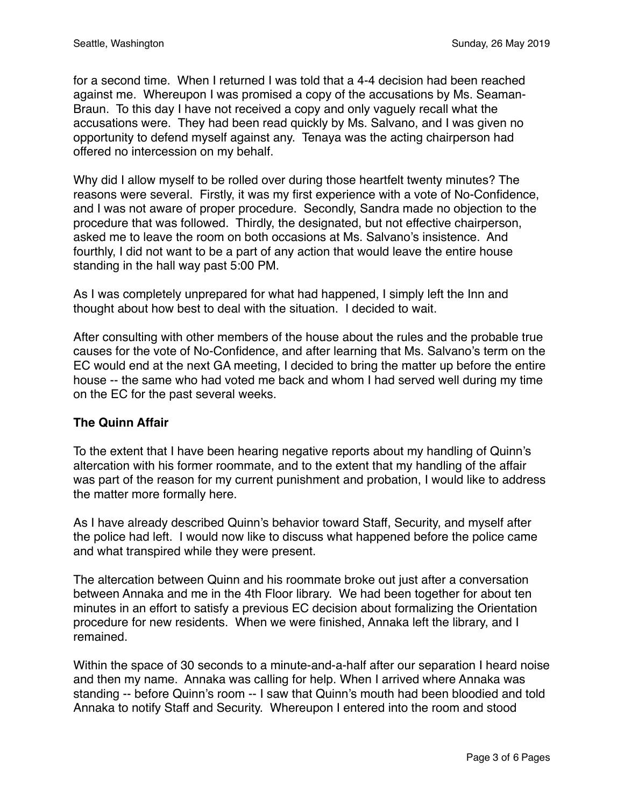for a second time. When I returned I was told that a 4-4 decision had been reached against me. Whereupon I was promised a copy of the accusations by Ms. Seaman-Braun. To this day I have not received a copy and only vaguely recall what the accusations were. They had been read quickly by Ms. Salvano, and I was given no opportunity to defend myself against any. Tenaya was the acting chairperson had offered no intercession on my behalf.

Why did I allow myself to be rolled over during those heartfelt twenty minutes? The reasons were several. Firstly, it was my first experience with a vote of No-Confidence, and I was not aware of proper procedure. Secondly, Sandra made no objection to the procedure that was followed. Thirdly, the designated, but not effective chairperson, asked me to leave the room on both occasions at Ms. Salvano's insistence. And fourthly, I did not want to be a part of any action that would leave the entire house standing in the hall way past 5:00 PM.

As I was completely unprepared for what had happened, I simply left the Inn and thought about how best to deal with the situation. I decided to wait.

After consulting with other members of the house about the rules and the probable true causes for the vote of No-Confidence, and after learning that Ms. Salvano's term on the EC would end at the next GA meeting, I decided to bring the matter up before the entire house -- the same who had voted me back and whom I had served well during my time on the EC for the past several weeks.

# **The Quinn Affair**

To the extent that I have been hearing negative reports about my handling of Quinn's altercation with his former roommate, and to the extent that my handling of the affair was part of the reason for my current punishment and probation, I would like to address the matter more formally here.

As I have already described Quinn's behavior toward Staff, Security, and myself after the police had left. I would now like to discuss what happened before the police came and what transpired while they were present.

The altercation between Quinn and his roommate broke out just after a conversation between Annaka and me in the 4th Floor library. We had been together for about ten minutes in an effort to satisfy a previous EC decision about formalizing the Orientation procedure for new residents. When we were finished, Annaka left the library, and I remained.

Within the space of 30 seconds to a minute-and-a-half after our separation I heard noise and then my name. Annaka was calling for help. When I arrived where Annaka was standing -- before Quinn's room -- I saw that Quinn's mouth had been bloodied and told Annaka to notify Staff and Security. Whereupon I entered into the room and stood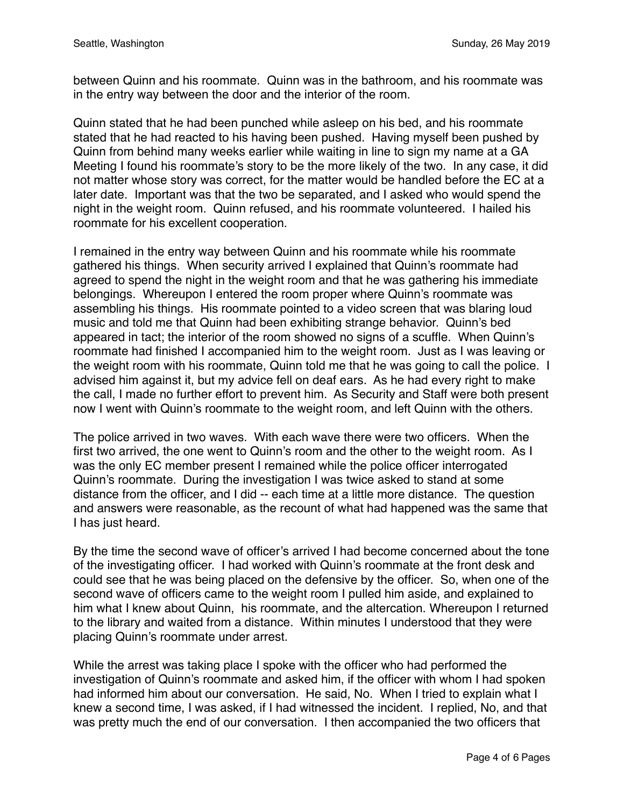between Quinn and his roommate. Quinn was in the bathroom, and his roommate was in the entry way between the door and the interior of the room.

Quinn stated that he had been punched while asleep on his bed, and his roommate stated that he had reacted to his having been pushed. Having myself been pushed by Quinn from behind many weeks earlier while waiting in line to sign my name at a GA Meeting I found his roommate's story to be the more likely of the two. In any case, it did not matter whose story was correct, for the matter would be handled before the EC at a later date. Important was that the two be separated, and I asked who would spend the night in the weight room. Quinn refused, and his roommate volunteered. I hailed his roommate for his excellent cooperation.

I remained in the entry way between Quinn and his roommate while his roommate gathered his things. When security arrived I explained that Quinn's roommate had agreed to spend the night in the weight room and that he was gathering his immediate belongings. Whereupon I entered the room proper where Quinn's roommate was assembling his things. His roommate pointed to a video screen that was blaring loud music and told me that Quinn had been exhibiting strange behavior. Quinn's bed appeared in tact; the interior of the room showed no signs of a scuffle. When Quinn's roommate had finished I accompanied him to the weight room. Just as I was leaving or the weight room with his roommate, Quinn told me that he was going to call the police. I advised him against it, but my advice fell on deaf ears. As he had every right to make the call, I made no further effort to prevent him. As Security and Staff were both present now I went with Quinn's roommate to the weight room, and left Quinn with the others.

The police arrived in two waves. With each wave there were two officers. When the first two arrived, the one went to Quinn's room and the other to the weight room. As I was the only EC member present I remained while the police officer interrogated Quinn's roommate. During the investigation I was twice asked to stand at some distance from the officer, and I did -- each time at a little more distance. The question and answers were reasonable, as the recount of what had happened was the same that I has just heard.

By the time the second wave of officer's arrived I had become concerned about the tone of the investigating officer. I had worked with Quinn's roommate at the front desk and could see that he was being placed on the defensive by the officer. So, when one of the second wave of officers came to the weight room I pulled him aside, and explained to him what I knew about Quinn, his roommate, and the altercation. Whereupon I returned to the library and waited from a distance. Within minutes I understood that they were placing Quinn's roommate under arrest.

While the arrest was taking place I spoke with the officer who had performed the investigation of Quinn's roommate and asked him, if the officer with whom I had spoken had informed him about our conversation. He said, No. When I tried to explain what I knew a second time, I was asked, if I had witnessed the incident. I replied, No, and that was pretty much the end of our conversation. I then accompanied the two officers that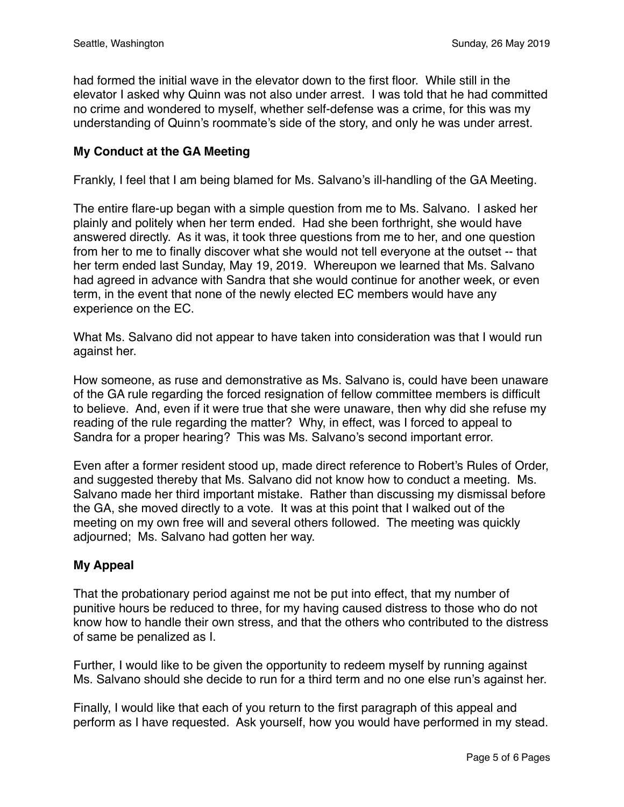had formed the initial wave in the elevator down to the first floor. While still in the elevator I asked why Quinn was not also under arrest. I was told that he had committed no crime and wondered to myself, whether self-defense was a crime, for this was my understanding of Quinn's roommate's side of the story, and only he was under arrest.

### **My Conduct at the GA Meeting**

Frankly, I feel that I am being blamed for Ms. Salvano's ill-handling of the GA Meeting.

The entire flare-up began with a simple question from me to Ms. Salvano. I asked her plainly and politely when her term ended. Had she been forthright, she would have answered directly. As it was, it took three questions from me to her, and one question from her to me to finally discover what she would not tell everyone at the outset -- that her term ended last Sunday, May 19, 2019. Whereupon we learned that Ms. Salvano had agreed in advance with Sandra that she would continue for another week, or even term, in the event that none of the newly elected EC members would have any experience on the EC.

What Ms. Salvano did not appear to have taken into consideration was that I would run against her.

How someone, as ruse and demonstrative as Ms. Salvano is, could have been unaware of the GA rule regarding the forced resignation of fellow committee members is difficult to believe. And, even if it were true that she were unaware, then why did she refuse my reading of the rule regarding the matter? Why, in effect, was I forced to appeal to Sandra for a proper hearing? This was Ms. Salvano's second important error.

Even after a former resident stood up, made direct reference to Robert's Rules of Order, and suggested thereby that Ms. Salvano did not know how to conduct a meeting. Ms. Salvano made her third important mistake. Rather than discussing my dismissal before the GA, she moved directly to a vote. It was at this point that I walked out of the meeting on my own free will and several others followed. The meeting was quickly adjourned; Ms. Salvano had gotten her way.

### **My Appeal**

That the probationary period against me not be put into effect, that my number of punitive hours be reduced to three, for my having caused distress to those who do not know how to handle their own stress, and that the others who contributed to the distress of same be penalized as I.

Further, I would like to be given the opportunity to redeem myself by running against Ms. Salvano should she decide to run for a third term and no one else run's against her.

Finally, I would like that each of you return to the first paragraph of this appeal and perform as I have requested. Ask yourself, how you would have performed in my stead.